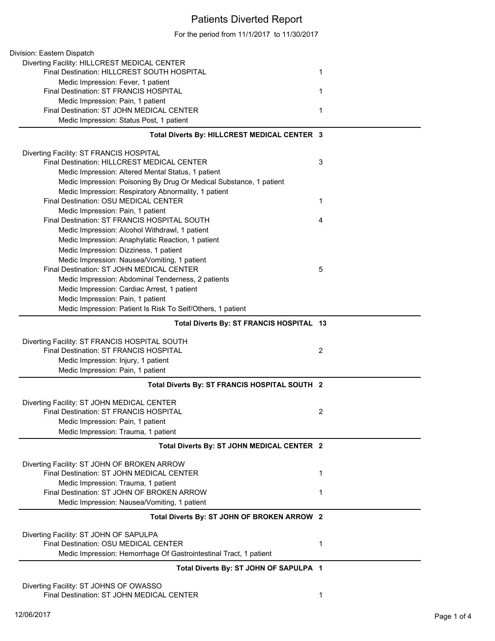## Patients Diverted Report

For the period from 11/1/2017 to 11/30/2017

| Division: Eastern Dispatch                                          |                |
|---------------------------------------------------------------------|----------------|
| Diverting Facility: HILLCREST MEDICAL CENTER                        |                |
| Final Destination: HILLCREST SOUTH HOSPITAL                         | 1              |
| Medic Impression: Fever, 1 patient                                  |                |
| Final Destination: ST FRANCIS HOSPITAL                              | 1              |
| Medic Impression: Pain, 1 patient                                   |                |
| Final Destination: ST JOHN MEDICAL CENTER                           | 1              |
| Medic Impression: Status Post, 1 patient                            |                |
| Total Diverts By: HILLCREST MEDICAL CENTER 3                        |                |
| Diverting Facility: ST FRANCIS HOSPITAL                             |                |
| Final Destination: HILLCREST MEDICAL CENTER                         | 3              |
| Medic Impression: Altered Mental Status, 1 patient                  |                |
| Medic Impression: Poisoning By Drug Or Medical Substance, 1 patient |                |
| Medic Impression: Respiratory Abnormality, 1 patient                |                |
| Final Destination: OSU MEDICAL CENTER                               | 1              |
| Medic Impression: Pain, 1 patient                                   |                |
| Final Destination: ST FRANCIS HOSPITAL SOUTH                        | 4              |
| Medic Impression: Alcohol Withdrawl, 1 patient                      |                |
| Medic Impression: Anaphylatic Reaction, 1 patient                   |                |
| Medic Impression: Dizziness, 1 patient                              |                |
| Medic Impression: Nausea/Vomiting, 1 patient                        |                |
| Final Destination: ST JOHN MEDICAL CENTER                           | 5              |
| Medic Impression: Abdominal Tenderness, 2 patients                  |                |
| Medic Impression: Cardiac Arrest, 1 patient                         |                |
| Medic Impression: Pain, 1 patient                                   |                |
| Medic Impression: Patient Is Risk To Self/Others, 1 patient         |                |
|                                                                     |                |
| Total Diverts By: ST FRANCIS HOSPITAL 13                            |                |
| Diverting Facility: ST FRANCIS HOSPITAL SOUTH                       |                |
| Final Destination: ST FRANCIS HOSPITAL                              | $\overline{2}$ |
| Medic Impression: Injury, 1 patient                                 |                |
| Medic Impression: Pain, 1 patient                                   |                |
| Total Diverts By: ST FRANCIS HOSPITAL SOUTH 2                       |                |
| Diverting Facility: ST JOHN MEDICAL CENTER                          |                |
| Final Destination: ST FRANCIS HOSPITAL                              | 2              |
| Medic Impression: Pain, 1 patient                                   |                |
| Medic Impression: Trauma, 1 patient                                 |                |
| Total Diverts By: ST JOHN MEDICAL CENTER 2                          |                |
| Diverting Facility: ST JOHN OF BROKEN ARROW                         |                |
| Final Destination: ST JOHN MEDICAL CENTER                           | 1              |
| Medic Impression: Trauma, 1 patient                                 |                |
| Final Destination: ST JOHN OF BROKEN ARROW                          | 1              |
| Medic Impression: Nausea/Vomiting, 1 patient                        |                |
| Total Diverts By: ST JOHN OF BROKEN ARROW 2                         |                |
| Diverting Facility: ST JOHN OF SAPULPA                              |                |
| Final Destination: OSU MEDICAL CENTER                               | 1              |
| Medic Impression: Hemorrhage Of Gastrointestinal Tract, 1 patient   |                |
| Total Diverts By: ST JOHN OF SAPULPA 1                              |                |
| Diverting Facility: ST JOHNS OF OWASSO                              |                |
|                                                                     |                |

Final Destination: ST JOHN MEDICAL CENTER 1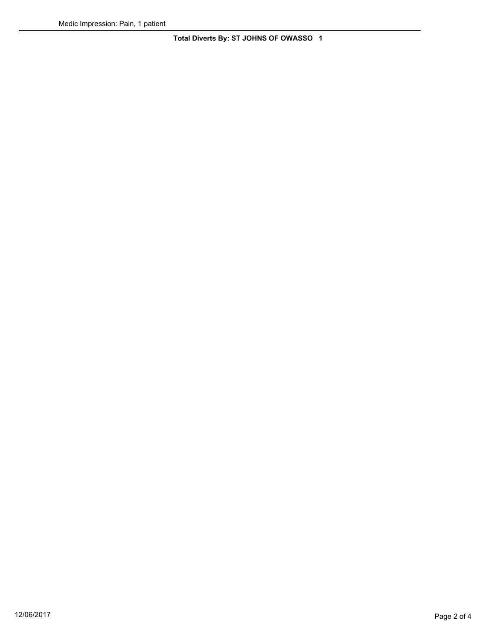**Total Diverts By: ST JOHNS OF OWASSO 1**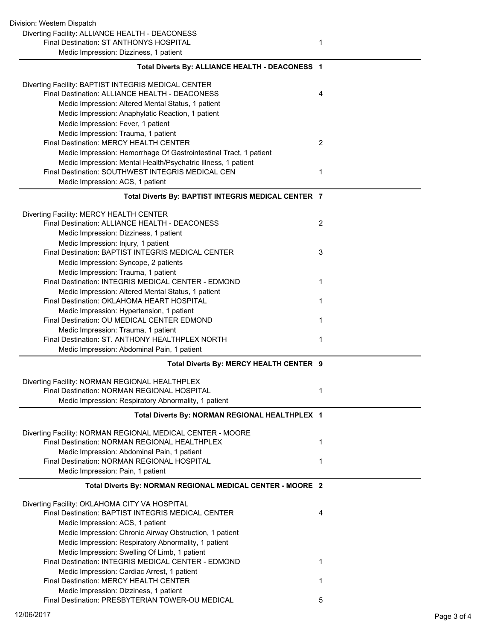| Division: Western Dispatch                                                                                         |   |
|--------------------------------------------------------------------------------------------------------------------|---|
| Diverting Facility: ALLIANCE HEALTH - DEACONESS                                                                    |   |
| Final Destination: ST ANTHONYS HOSPITAL                                                                            | 1 |
| Medic Impression: Dizziness, 1 patient                                                                             |   |
|                                                                                                                    |   |
| Total Diverts By: ALLIANCE HEALTH - DEACONESS 1                                                                    |   |
| Diverting Facility: BAPTIST INTEGRIS MEDICAL CENTER                                                                |   |
| Final Destination: ALLIANCE HEALTH - DEACONESS                                                                     | 4 |
| Medic Impression: Altered Mental Status, 1 patient                                                                 |   |
| Medic Impression: Anaphylatic Reaction, 1 patient                                                                  |   |
| Medic Impression: Fever, 1 patient                                                                                 |   |
| Medic Impression: Trauma, 1 patient                                                                                |   |
| Final Destination: MERCY HEALTH CENTER                                                                             | 2 |
| Medic Impression: Hemorrhage Of Gastrointestinal Tract, 1 patient                                                  |   |
|                                                                                                                    |   |
| Medic Impression: Mental Health/Psychatric Illness, 1 patient<br>Final Destination: SOUTHWEST INTEGRIS MEDICAL CEN | 1 |
|                                                                                                                    |   |
| Medic Impression: ACS, 1 patient                                                                                   |   |
| Total Diverts By: BAPTIST INTEGRIS MEDICAL CENTER 7                                                                |   |
| Diverting Facility: MERCY HEALTH CENTER                                                                            |   |
| Final Destination: ALLIANCE HEALTH - DEACONESS                                                                     | 2 |
| Medic Impression: Dizziness, 1 patient                                                                             |   |
| Medic Impression: Injury, 1 patient                                                                                |   |
| Final Destination: BAPTIST INTEGRIS MEDICAL CENTER                                                                 | 3 |
| Medic Impression: Syncope, 2 patients                                                                              |   |
| Medic Impression: Trauma, 1 patient                                                                                |   |
| Final Destination: INTEGRIS MEDICAL CENTER - EDMOND                                                                | 1 |
| Medic Impression: Altered Mental Status, 1 patient                                                                 |   |
| Final Destination: OKLAHOMA HEART HOSPITAL                                                                         | 1 |
| Medic Impression: Hypertension, 1 patient                                                                          |   |
| Final Destination: OU MEDICAL CENTER EDMOND                                                                        | 1 |
| Medic Impression: Trauma, 1 patient                                                                                |   |
| Final Destination: ST. ANTHONY HEALTHPLEX NORTH                                                                    | 1 |
| Medic Impression: Abdominal Pain, 1 patient                                                                        |   |
| Total Diverts By: MERCY HEALTH CENTER 9                                                                            |   |
|                                                                                                                    |   |
| Diverting Facility: NORMAN REGIONAL HEALTHPLEX<br>Final Destination: NORMAN REGIONAL HOSPITAL                      | 1 |
|                                                                                                                    |   |
| Medic Impression: Respiratory Abnormality, 1 patient                                                               |   |
| Total Diverts By: NORMAN REGIONAL HEALTHPLEX 1                                                                     |   |
| Diverting Facility: NORMAN REGIONAL MEDICAL CENTER - MOORE                                                         |   |
| Final Destination: NORMAN REGIONAL HEALTHPLEX                                                                      | 1 |
| Medic Impression: Abdominal Pain, 1 patient                                                                        |   |
| Final Destination: NORMAN REGIONAL HOSPITAL                                                                        | 1 |
| Medic Impression: Pain, 1 patient                                                                                  |   |
| Total Diverts By: NORMAN REGIONAL MEDICAL CENTER - MOORE 2                                                         |   |
| Diverting Facility: OKLAHOMA CITY VA HOSPITAL                                                                      |   |
| Final Destination: BAPTIST INTEGRIS MEDICAL CENTER                                                                 | 4 |
| Medic Impression: ACS, 1 patient                                                                                   |   |
| Medic Impression: Chronic Airway Obstruction, 1 patient                                                            |   |
| Medic Impression: Respiratory Abnormality, 1 patient                                                               |   |
| Medic Impression: Swelling Of Limb, 1 patient                                                                      |   |
| Final Destination: INTEGRIS MEDICAL CENTER - EDMOND                                                                | 1 |
|                                                                                                                    |   |
| Medic Impression: Cardiac Arrest, 1 patient                                                                        | 1 |
| Final Destination: MERCY HEALTH CENTER                                                                             |   |
| Medic Impression: Dizziness, 1 patient<br>Final Destination: PRESBYTERIAN TOWER-OU MEDICAL                         |   |
|                                                                                                                    | 5 |